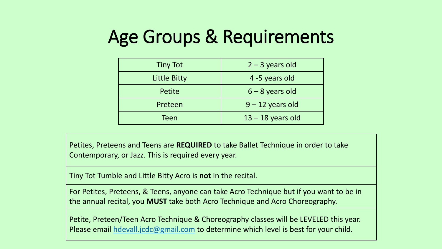## Age Groups & Requirements

| <b>Tiny Tot</b> | $2 - 3$ years old   |  |  |  |
|-----------------|---------------------|--|--|--|
| Little Bitty    | 4 -5 years old      |  |  |  |
| Petite          | $6 - 8$ years old   |  |  |  |
| Preteen         | $9 - 12$ years old  |  |  |  |
| Teen            | $13 - 18$ years old |  |  |  |

Petites, Preteens and Teens are **REQUIRED** to take Ballet Technique in order to take Contemporary, or Jazz. This is required every year.

Tiny Tot Tumble and Little Bitty Acro is **not** in the recital.

For Petites, Preteens, & Teens, anyone can take Acro Technique but if you want to be in the annual recital, you **MUST** take both Acro Technique and Acro Choreography.

Petite, Preteen/Teen Acro Technique & Choreography classes will be LEVELED this year. Please email [hdevall.jcdc@gmail.com](mailto:hdevall.jcdc@gmail.com) to determine which level is best for your child.